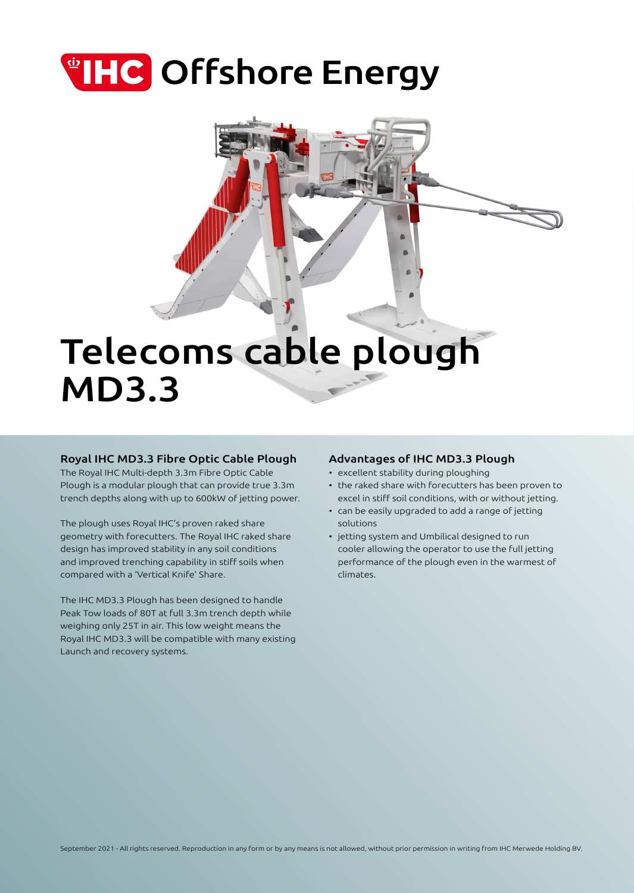# **THC** Offshore Energy

## Telecoms cable plough MD3.3

## Royal IHC MD3.3 Fibre Optic Cable Plough

The Royal IHC Multi-depth 3.3m Fibre Optic Cable Plough is a modular plough that can provide true 3.3m trench depths along with up to 600kW of jetting power.

The plough uses Royal IHC's proven raked share geometry with forecutters. The Royal IHC raked share design has improved stability in any soil conditions and improved trenching capability in stiff soils when compared with a 'Vertical Knife' Share.

The IHC MD3.3 Plough has been designed to handle Peak Tow loads of 80T at full 3.3m trench depth while weighing only 25T in air. This low weight means the Royal IHC MD3.3 will be compatible with many existing Launch and recovery systems.

## Advantages of IHC MD3.3 Plough

- excellent stability during ploughing
- the raked share with forecutters has been proven to excel in stiff soil conditions, with or without jetting.
- can be easily upgraded to add a range of jetting solutions
- jetting system and Umbilical designed to run cooler allowing the operator to use the full jetting performance of the plough even in the warmest of climates.